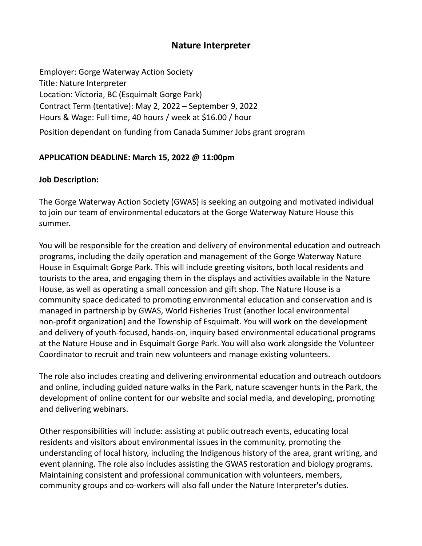# **Nature Interpreter**

Employer: Gorge Waterway Action Society Title: Nature Interpreter Location: Victoria, BC (Esquimalt Gorge Park) Contract Term (tentative): May 2, 2022 – September 9, 2022 Hours & Wage: Full time, 40 hours / week at \$16.00 / hour Position dependant on funding from Canada Summer Jobs grant program

## **APPLICATION DEADLINE: March 15, 2022 @ 11:00pm**

## **Job Description:**

The Gorge Waterway Action Society (GWAS) is seeking an outgoing and motivated individual to join our team of environmental educators at the Gorge Waterway Nature House this summer.

You will be responsible for the creation and delivery of environmental education and outreach programs, including the daily operation and management of the Gorge Waterway Nature House in Esquimalt Gorge Park. This will include greeting visitors, both local residents and tourists to the area, and engaging them in the displays and activities available in the Nature House, as well as operating a small concession and gift shop. The Nature House is a community space dedicated to promoting environmental education and conservation and is managed in partnership by GWAS, World Fisheries Trust (another local environmental non-profit organization) and the Township of Esquimalt. You will work on the development and delivery of youth-focused, hands-on, inquiry based environmental educational programs at the Nature House and in Esquimalt Gorge Park. You will also work alongside the Volunteer Coordinator to recruit and train new volunteers and manage existing volunteers.

The role also includes creating and delivering environmental education and outreach outdoors and online, including guided nature walks in the Park, nature scavenger hunts in the Park, the development of online content for our website and social media, and developing, promoting and delivering webinars.

Other responsibilities will include: assisting at public outreach events, educating local residents and visitors about environmental issues in the community, promoting the understanding of local history, including the Indigenous history of the area, grant writing, and event planning. The role also includes assisting the GWAS restoration and biology programs. Maintaining consistent and professional communication with volunteers, members, community groups and co-workers will also fall under the Nature Interpreter's duties.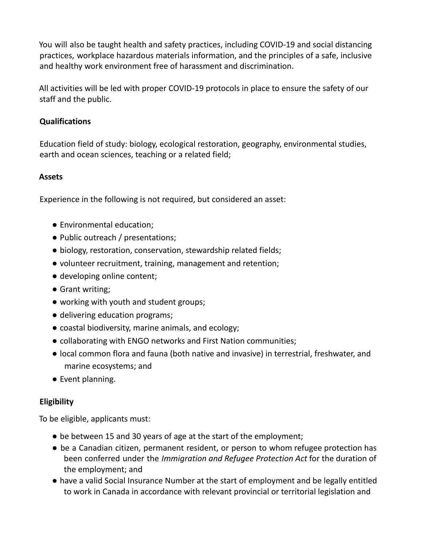You will also be taught health and safety practices, including COVID-19 and social distancing practices, workplace hazardous materials information, and the principles of a safe, inclusive and healthy work environment free of harassment and discrimination.

All activities will be led with proper COVID-19 protocols in place to ensure the safety of our staff and the public.

## **Qualifications**

Education field of study: biology, ecological restoration, geography, environmental studies, earth and ocean sciences, teaching or a related field;

## **Assets**

Experience in the following is not required, but considered an asset:

- Environmental education;
- Public outreach / presentations;
- biology, restoration, conservation, stewardship related fields;
- volunteer recruitment, training, management and retention;
- developing online content;
- Grant writing;
- working with youth and student groups;
- delivering education programs;
- coastal biodiversity, marine animals, and ecology;
- collaborating with ENGO networks and First Nation communities;
- local common flora and fauna (both native and invasive) in terrestrial, freshwater, and marine ecosystems; and
- Event planning.

#### **Eligibility**

To be eligible, applicants must:

- be between 15 and 30 years of age at the start of the employment;
- be a Canadian citizen, permanent resident, or person to whom refugee protection has been conferred under the *Immigration and Refugee Protection Act* for the duration of the employment; and
- have a valid Social Insurance Number at the start of employment and be legally entitled to work in Canada in accordance with relevant provincial or territorial legislation and